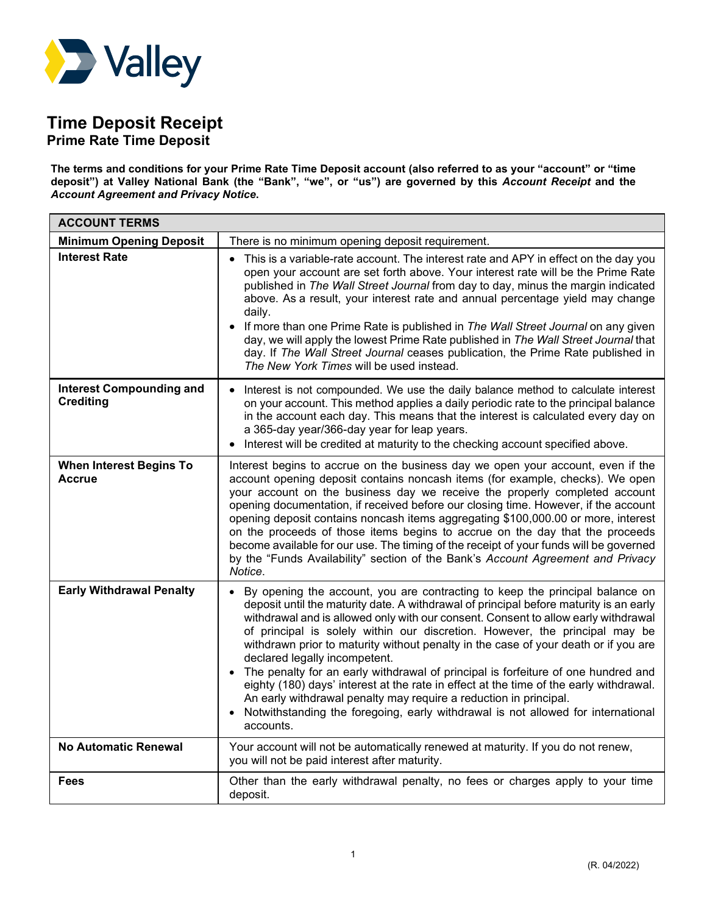

## **Time Deposit Receipt**

**Prime Rate Time Deposit**

**The terms and conditions for your Prime Rate Time Deposit account (also referred to as your "account" or "time deposit") at Valley National Bank (the "Bank", "we", or "us") are governed by this** *Account Receipt* **and the**  *Account Agreement and Privacy Notice***.** 

| <b>ACCOUNT TERMS</b>                                |                                                                                                                                                                                                                                                                                                                                                                                                                                                                                                                                                                                                                                                                                                                                                                                                                            |
|-----------------------------------------------------|----------------------------------------------------------------------------------------------------------------------------------------------------------------------------------------------------------------------------------------------------------------------------------------------------------------------------------------------------------------------------------------------------------------------------------------------------------------------------------------------------------------------------------------------------------------------------------------------------------------------------------------------------------------------------------------------------------------------------------------------------------------------------------------------------------------------------|
| <b>Minimum Opening Deposit</b>                      | There is no minimum opening deposit requirement.                                                                                                                                                                                                                                                                                                                                                                                                                                                                                                                                                                                                                                                                                                                                                                           |
| <b>Interest Rate</b>                                | This is a variable-rate account. The interest rate and APY in effect on the day you<br>open your account are set forth above. Your interest rate will be the Prime Rate<br>published in The Wall Street Journal from day to day, minus the margin indicated<br>above. As a result, your interest rate and annual percentage yield may change<br>daily.<br>If more than one Prime Rate is published in The Wall Street Journal on any given<br>day, we will apply the lowest Prime Rate published in The Wall Street Journal that<br>day. If The Wall Street Journal ceases publication, the Prime Rate published in<br>The New York Times will be used instead.                                                                                                                                                            |
| <b>Interest Compounding and</b><br><b>Crediting</b> | Interest is not compounded. We use the daily balance method to calculate interest<br>on your account. This method applies a daily periodic rate to the principal balance<br>in the account each day. This means that the interest is calculated every day on<br>a 365-day year/366-day year for leap years.<br>Interest will be credited at maturity to the checking account specified above.                                                                                                                                                                                                                                                                                                                                                                                                                              |
| <b>When Interest Begins To</b><br><b>Accrue</b>     | Interest begins to accrue on the business day we open your account, even if the<br>account opening deposit contains noncash items (for example, checks). We open<br>your account on the business day we receive the properly completed account<br>opening documentation, if received before our closing time. However, if the account<br>opening deposit contains noncash items aggregating \$100,000.00 or more, interest<br>on the proceeds of those items begins to accrue on the day that the proceeds<br>become available for our use. The timing of the receipt of your funds will be governed<br>by the "Funds Availability" section of the Bank's Account Agreement and Privacy<br>Notice.                                                                                                                         |
| <b>Early Withdrawal Penalty</b>                     | By opening the account, you are contracting to keep the principal balance on<br>deposit until the maturity date. A withdrawal of principal before maturity is an early<br>withdrawal and is allowed only with our consent. Consent to allow early withdrawal<br>of principal is solely within our discretion. However, the principal may be<br>withdrawn prior to maturity without penalty in the case of your death or if you are<br>declared legally incompetent.<br>• The penalty for an early withdrawal of principal is forfeiture of one hundred and<br>eighty (180) days' interest at the rate in effect at the time of the early withdrawal.<br>An early withdrawal penalty may require a reduction in principal.<br>Notwithstanding the foregoing, early withdrawal is not allowed for international<br>accounts. |
| <b>No Automatic Renewal</b>                         | Your account will not be automatically renewed at maturity. If you do not renew,<br>you will not be paid interest after maturity.                                                                                                                                                                                                                                                                                                                                                                                                                                                                                                                                                                                                                                                                                          |
| Fees                                                | Other than the early withdrawal penalty, no fees or charges apply to your time<br>deposit.                                                                                                                                                                                                                                                                                                                                                                                                                                                                                                                                                                                                                                                                                                                                 |